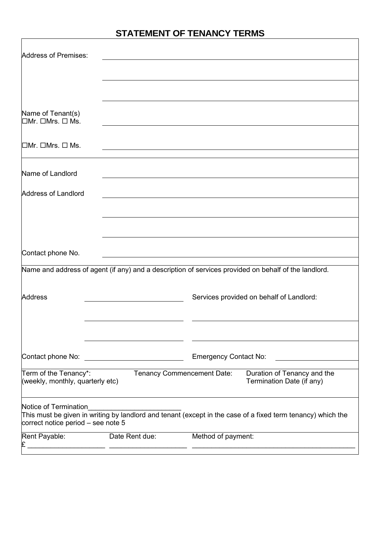# **STATEMENT OF TENANCY TERMS**

| Address of Premises:                                        |                                             |                                                                                                             |
|-------------------------------------------------------------|---------------------------------------------|-------------------------------------------------------------------------------------------------------------|
|                                                             |                                             |                                                                                                             |
|                                                             |                                             |                                                                                                             |
| Name of Tenant(s)<br>$\Box$ Mr. $\Box$ Mrs. $\Box$ Ms.      |                                             |                                                                                                             |
| $\Box$ Mr. $\Box$ Mrs. $\Box$ Ms.                           |                                             |                                                                                                             |
| Name of Landlord                                            |                                             |                                                                                                             |
| Address of Landlord                                         |                                             |                                                                                                             |
|                                                             |                                             |                                                                                                             |
|                                                             |                                             |                                                                                                             |
| Contact phone No.                                           |                                             |                                                                                                             |
|                                                             |                                             | Name and address of agent (if any) and a description of services provided on behalf of the landlord.        |
| <b>Address</b>                                              |                                             | Services provided on behalf of Landlord:                                                                    |
|                                                             |                                             |                                                                                                             |
| Contact phone No:                                           | <u> 1980 - Jan Barbara Barat, politik a</u> | <b>Emergency Contact No:</b>                                                                                |
| Term of the Tenancy*:<br>(weekly, monthly, quarterly etc)   |                                             | <b>Tenancy Commencement Date:</b><br>Duration of Tenancy and the<br>Termination Date (if any)               |
| Notice of Termination<br>correct notice period – see note 5 |                                             | This must be given in writing by landlord and tenant (except in the case of a fixed term tenancy) which the |
| Rent Payable:                                               | Date Rent due:                              | Method of payment:                                                                                          |
|                                                             |                                             |                                                                                                             |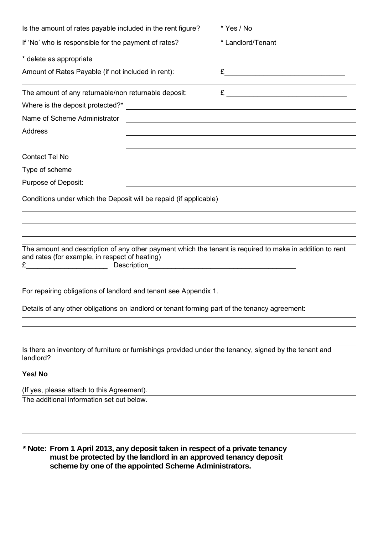| Is the amount of rates payable included in the rent figure?                                                                                                                                                                    | * Yes / No                                                                                                                                                                                                                                                                                                                           |  |
|--------------------------------------------------------------------------------------------------------------------------------------------------------------------------------------------------------------------------------|--------------------------------------------------------------------------------------------------------------------------------------------------------------------------------------------------------------------------------------------------------------------------------------------------------------------------------------|--|
| If 'No' who is responsible for the payment of rates?                                                                                                                                                                           | * Landlord/Tenant                                                                                                                                                                                                                                                                                                                    |  |
| * delete as appropriate                                                                                                                                                                                                        |                                                                                                                                                                                                                                                                                                                                      |  |
| Amount of Rates Payable (if not included in rent):                                                                                                                                                                             | $E$ and $\overline{E}$ and $\overline{E}$ and $\overline{E}$ and $\overline{E}$ and $\overline{E}$ and $\overline{E}$ and $\overline{E}$ and $\overline{E}$ and $\overline{E}$ and $\overline{E}$ and $\overline{E}$ and $\overline{E}$ and $\overline{E}$ and $\overline{E}$ and $\overline{E}$ and $\overline{E}$ and $\overline{$ |  |
| The amount of any returnable/non returnable deposit:                                                                                                                                                                           |                                                                                                                                                                                                                                                                                                                                      |  |
|                                                                                                                                                                                                                                |                                                                                                                                                                                                                                                                                                                                      |  |
| Name of Scheme Administrator [2003] [2003] [2003] [2003] [2003] [2003] [2004] [2004] [2004] [2004] [2004] [2004] [2004] [2004] [2004] [2004] [2004] [2004] [2004] [2004] [2004] [2004] [2004] [2004] [2004] [2004] [2004] [200 |                                                                                                                                                                                                                                                                                                                                      |  |
| <b>Address</b>                                                                                                                                                                                                                 |                                                                                                                                                                                                                                                                                                                                      |  |
|                                                                                                                                                                                                                                |                                                                                                                                                                                                                                                                                                                                      |  |
| Contact Tel No                                                                                                                                                                                                                 |                                                                                                                                                                                                                                                                                                                                      |  |
| Type of scheme                                                                                                                                                                                                                 |                                                                                                                                                                                                                                                                                                                                      |  |
| Purpose of Deposit:                                                                                                                                                                                                            |                                                                                                                                                                                                                                                                                                                                      |  |
| Conditions under which the Deposit will be repaid (if applicable)                                                                                                                                                              |                                                                                                                                                                                                                                                                                                                                      |  |
|                                                                                                                                                                                                                                |                                                                                                                                                                                                                                                                                                                                      |  |
|                                                                                                                                                                                                                                |                                                                                                                                                                                                                                                                                                                                      |  |
|                                                                                                                                                                                                                                |                                                                                                                                                                                                                                                                                                                                      |  |
| The amount and description of any other payment which the tenant is required to make in addition to rent<br>and rates (for example, in respect of heating)<br><u> 1990 - Johann Barbara, martin a</u>                          |                                                                                                                                                                                                                                                                                                                                      |  |
|                                                                                                                                                                                                                                |                                                                                                                                                                                                                                                                                                                                      |  |
| For repairing obligations of landlord and tenant see Appendix 1.                                                                                                                                                               |                                                                                                                                                                                                                                                                                                                                      |  |
| Details of any other obligations on landlord or tenant forming part of the tenancy agreement:                                                                                                                                  |                                                                                                                                                                                                                                                                                                                                      |  |
|                                                                                                                                                                                                                                |                                                                                                                                                                                                                                                                                                                                      |  |
|                                                                                                                                                                                                                                |                                                                                                                                                                                                                                                                                                                                      |  |
| Is there an inventory of furniture or furnishings provided under the tenancy, signed by the tenant and<br>landlord?                                                                                                            |                                                                                                                                                                                                                                                                                                                                      |  |
| Yes/No                                                                                                                                                                                                                         |                                                                                                                                                                                                                                                                                                                                      |  |
| (If yes, please attach to this Agreement).                                                                                                                                                                                     |                                                                                                                                                                                                                                                                                                                                      |  |
| The additional information set out below.                                                                                                                                                                                      |                                                                                                                                                                                                                                                                                                                                      |  |
|                                                                                                                                                                                                                                |                                                                                                                                                                                                                                                                                                                                      |  |
|                                                                                                                                                                                                                                |                                                                                                                                                                                                                                                                                                                                      |  |
|                                                                                                                                                                                                                                |                                                                                                                                                                                                                                                                                                                                      |  |

**\* Note: From 1 April 2013, any deposit taken in respect of a private tenancy must be protected by the landlord in an approved tenancy deposit scheme by one of the appointed Scheme Administrators.**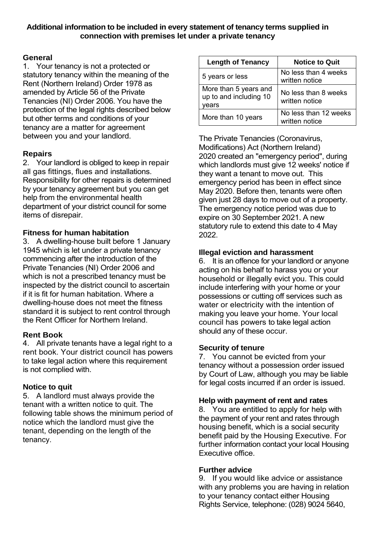### **Additional information to be included in every statement of tenancy terms supplied in connection with premises let under a private tenancy**

## **General**

1. Your tenancy is not a protected or statutory tenancy within the meaning of the Rent (Northern Ireland) Order 1978 as amended by Article 56 of the Private Tenancies (NI) Order 2006. You have the protection of the legal rights described below but other terms and conditions of your tenancy are a matter for agreement between you and your landlord.

# **Repairs**

2. Your landlord is obliged to keep in repair all gas fittings, flues and installations. Responsibility for other repairs is determined by your tenancy agreement but you can get help from the environmental health department of your district council for some items of disrepair.

## **Fitness for human habitation**

3. A dwelling-house built before 1 January 1945 which is let under a private tenancy commencing after the introduction of the Private Tenancies (NI) Order 2006 and which is not a prescribed tenancy must be inspected by the district council to ascertain if it is fit for human habitation. Where a dwelling-house does not meet the fitness standard it is subject to rent control through the Rent Officer for Northern Ireland.

#### **Rent Book**

4. All private tenants have a legal right to a rent book. Your district council has powers to take legal action where this requirement is not complied with.

# **Notice to quit**

5. A landlord must always provide the tenant with a written notice to quit. The following table shows the minimum period of notice which the landlord must give the tenant, depending on the length of the tenancy.

| <b>Length of Tenancy</b>                                 | <b>Notice to Quit</b>                   |
|----------------------------------------------------------|-----------------------------------------|
| 5 years or less                                          | No less than 4 weeks<br>written notice  |
| More than 5 years and<br>up to and including 10<br>years | No less than 8 weeks<br>written notice  |
| More than 10 years                                       | No less than 12 weeks<br>written notice |

[The Private Tenancies \(Coronavirus,](https://www.legislation.gov.uk/nia/2020/2/contents)  [Modifications\) Act \(Northern Ireland\)](https://www.legislation.gov.uk/nia/2020/2/contents)  [2020](https://www.legislation.gov.uk/nia/2020/2/contents) created an "emergency period", during which landlords must give 12 weeks' notice if they want a tenant to move out. This emergency period has been in effect since May 2020. Before then, tenants were often given just 28 days to move out of a property. The emergency notice period was due to expire on 30 September 2021. [A new](https://www.legislation.gov.uk/nisr/2021/242/contents/made)  [statutory rule to extend this date to 4 May](https://www.legislation.gov.uk/nisr/2021/242/contents/made)  [2022.](https://www.legislation.gov.uk/nisr/2021/242/contents/made)

## **Illegal eviction and harassment**

6. It is an offence for your landlord or anyone acting on his behalf to harass you or your household or illegally evict you. This could include interfering with your home or your possessions or cutting off services such as water or electricity with the intention of making you leave your home. Your local council has powers to take legal action should any of these occur.

#### **Security of tenure**

7. You cannot be evicted from your tenancy without a possession order issued by Court of Law, although you may be liable for legal costs incurred if an order is issued.

#### **Help with payment of rent and rates**

8. You are entitled to apply for help with the payment of your rent and rates through housing benefit, which is a social security benefit paid by the Housing Executive. For further information contact your local Housing Executive office.

#### **Further advice**

9. If you would like advice or assistance with any problems you are having in relation to your tenancy contact either Housing Rights Service, telephone: (028) 9024 5640,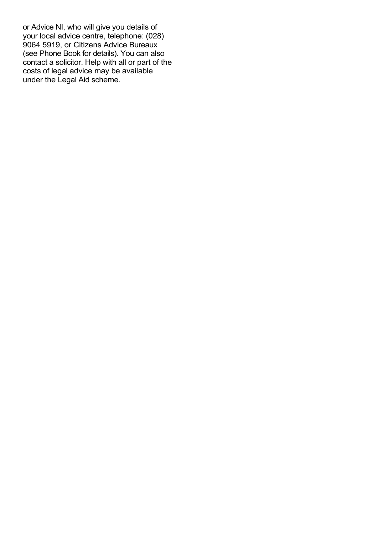or Advice NI, who will give you details of your local advice centre, telephone: (028) 9064 5919, or Citizens Advice Bureaux (see Phone Book for details). You can also contact a solicitor. Help with all or part of the costs of legal advice may be available under the Legal Aid scheme.